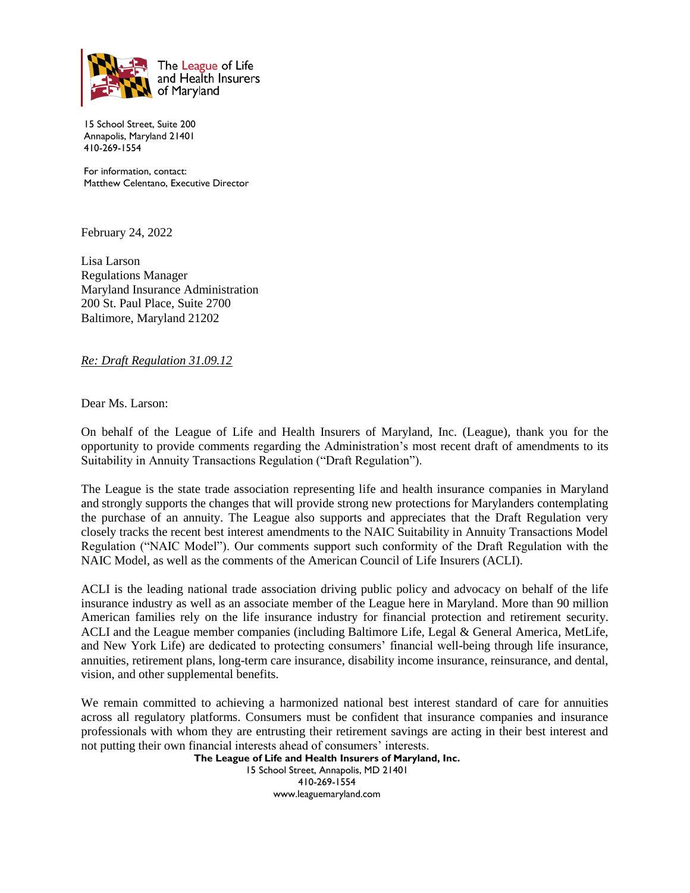

15 School Street, Suite 200 Annapolis, Maryland 21401 410-269-1554

For information, contact: Matthew Celentano, Executive Director

February 24, 2022

Lisa Larson Regulations Manager Maryland Insurance Administration 200 St. Paul Place, Suite 2700 Baltimore, Maryland 21202

*Re: Draft Regulation 31.09.12*

Dear Ms. Larson:

On behalf of the League of Life and Health Insurers of Maryland, Inc. (League), thank you for the opportunity to provide comments regarding the Administration's most recent draft of amendments to its Suitability in Annuity Transactions Regulation ("Draft Regulation").

The League is the state trade association representing life and health insurance companies in Maryland and strongly supports the changes that will provide strong new protections for Marylanders contemplating the purchase of an annuity. The League also supports and appreciates that the Draft Regulation very closely tracks the recent best interest amendments to the NAIC Suitability in Annuity Transactions Model Regulation ("NAIC Model"). Our comments support such conformity of the Draft Regulation with the NAIC Model, as well as the comments of the American Council of Life Insurers (ACLI).

ACLI is the leading national trade association driving public policy and advocacy on behalf of the life insurance industry as well as an associate member of the League here in Maryland. More than 90 million American families rely on the life insurance industry for financial protection and retirement security. ACLI and the League member companies (including Baltimore Life, Legal & General America, MetLife, and New York Life) are dedicated to protecting consumers' financial well-being through life insurance, annuities, retirement plans, long-term care insurance, disability income insurance, reinsurance, and dental, vision, and other supplemental benefits.

We remain committed to achieving a harmonized national best interest standard of care for annuities across all regulatory platforms. Consumers must be confident that insurance companies and insurance professionals with whom they are entrusting their retirement savings are acting in their best interest and not putting their own financial interests ahead of consumers' interests.

**The League of Life and Health Insurers of Maryland, Inc.** 15 School Street, Annapolis, MD 21401 410-269-1554 www.leaguemaryland.com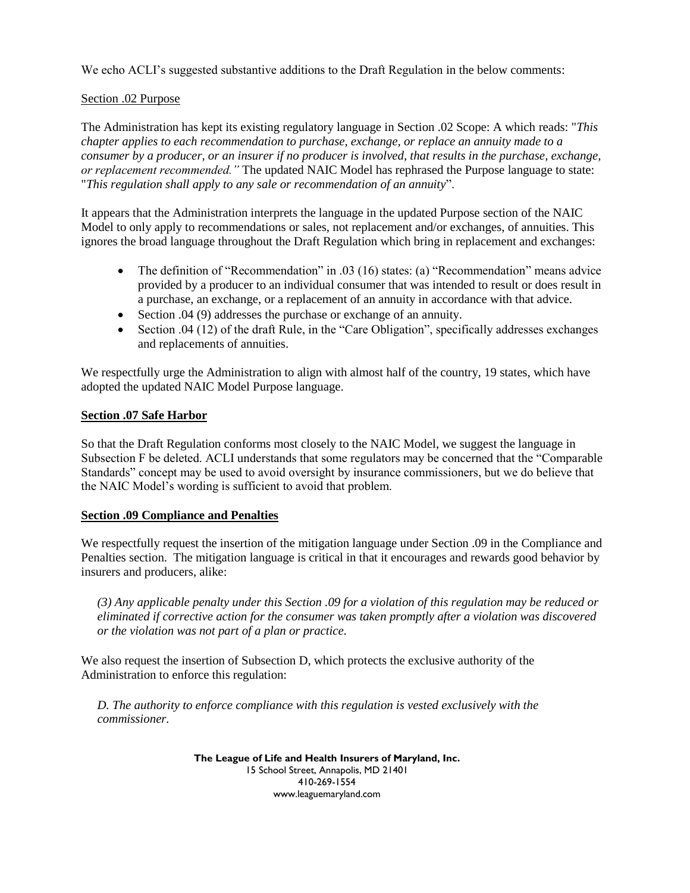We echo ACLI's suggested substantive additions to the Draft Regulation in the below comments:

## Section .02 Purpose

The Administration has kept its existing regulatory language in Section .02 Scope: A which reads: "*This chapter applies to each recommendation to purchase, exchange, or replace an annuity made to a consumer by a producer, or an insurer if no producer is involved, that results in the purchase, exchange, or replacement recommended."* The updated NAIC Model has rephrased the Purpose language to state: "*This regulation shall apply to any sale or recommendation of an annuity*".

It appears that the Administration interprets the language in the updated Purpose section of the NAIC Model to only apply to recommendations or sales, not replacement and/or exchanges, of annuities. This ignores the broad language throughout the Draft Regulation which bring in replacement and exchanges:

- The definition of "Recommendation" in .03 (16) states: (a) "Recommendation" means advice provided by a producer to an individual consumer that was intended to result or does result in a purchase, an exchange, or a replacement of an annuity in accordance with that advice.
- Section .04 (9) addresses the purchase or exchange of an annuity.
- Section .04 (12) of the draft Rule, in the "Care Obligation", specifically addresses exchanges and replacements of annuities.

We respectfully urge the Administration to align with almost half of the country, 19 states, which have adopted the updated NAIC Model Purpose language.

## **Section .07 Safe Harbor**

So that the Draft Regulation conforms most closely to the NAIC Model, we suggest the language in Subsection F be deleted. ACLI understands that some regulators may be concerned that the "Comparable Standards" concept may be used to avoid oversight by insurance commissioners, but we do believe that the NAIC Model's wording is sufficient to avoid that problem.

## **Section .09 Compliance and Penalties**

We respectfully request the insertion of the mitigation language under Section .09 in the Compliance and Penalties section. The mitigation language is critical in that it encourages and rewards good behavior by insurers and producers, alike:

*(3) Any applicable penalty under this Section .09 for a violation of this regulation may be reduced or eliminated if corrective action for the consumer was taken promptly after a violation was discovered or the violation was not part of a plan or practice.*

We also request the insertion of Subsection D, which protects the exclusive authority of the Administration to enforce this regulation:

*D. The authority to enforce compliance with this regulation is vested exclusively with the commissioner.*

> **The League of Life and Health Insurers of Maryland, Inc.** 15 School Street, Annapolis, MD 21401 410-269-1554 www.leaguemaryland.com